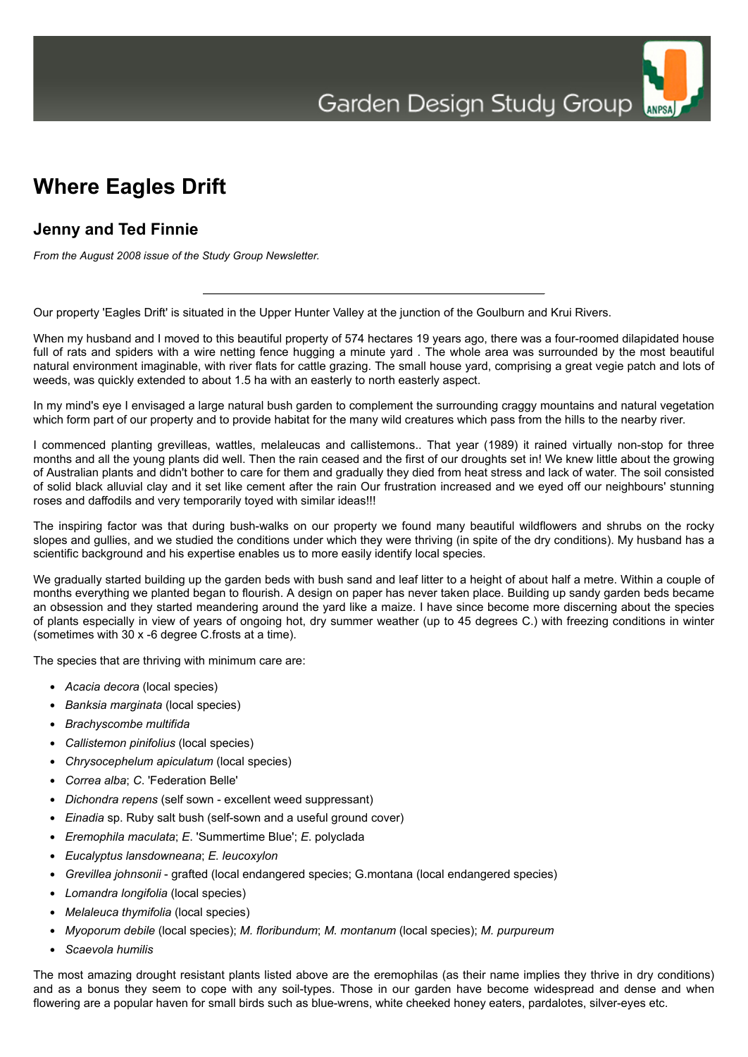# **Where Eagles Drift**

## **Jenny and Ted Finnie**

*From the August 2008 issue of the Study Group Newsletter.*

Our property 'Eagles Drift' is situated in the Upper Hunter Valley at the junction of the Goulburn and Krui Rivers.

When my husband and I moved to this beautiful property of 574 hectares 19 years ago, there was a four-roomed dilapidated house full of rats and spiders with a wire netting fence hugging a minute vard. The whole area was surrounded by the most beautiful natural environment imaginable, with river flats for cattle grazing. The small house yard, comprising a great vegie patch and lots of weeds, was quickly extended to about 1.5 ha with an easterly to north easterly aspect.

In my mind's eye I envisaged a large natural bush garden to complement the surrounding craggy mountains and natural vegetation which form part of our property and to provide habitat for the many wild creatures which pass from the hills to the nearby river.

I commenced planting grevilleas, wattles, melaleucas and callistemons.. That year (1989) it rained virtually non-stop for three months and all the young plants did well. Then the rain ceased and the first of our droughts set in! We knew little about the growing of Australian plants and didn't bother to care for them and gradually they died from heat stress and lack of water. The soil consisted of solid black alluvial clay and it set like cement after the rain Our frustration increased and we eyed off our neighbours' stunning roses and daffodils and very temporarily toyed with similar ideas!!!

The inspiring factor was that during bush-walks on our property we found many beautiful wildflowers and shrubs on the rocky slopes and gullies, and we studied the conditions under which they were thriving (in spite of the dry conditions). My husband has a scientific background and his expertise enables us to more easily identify local species.

We gradually started building up the garden beds with bush sand and leaf litter to a height of about half a metre. Within a couple of months everything we planted began to flourish. A design on paper has never taken place. Building up sandy garden beds became an obsession and they started meandering around the yard like a maize. I have since become more discerning about the species of plants especially in view of years of ongoing hot, dry summer weather (up to 45 degrees C.) with freezing conditions in winter (sometimes with 30 x -6 degree C.frosts at a time).

The species that are thriving with minimum care are:

- *Acacia decora* (local species)
- *Banksia marginata* (local species)
- *Brachyscombe multifida*
- *Callistemon pinifolius* (local species)
- *Chrysocephelum apiculatum* (local species)
- *Correa alba*; *C*. 'Federation Belle'
- *Dichondra repens* (self sown excellent weed suppressant)
- *Einadia* sp. Ruby salt bush (self-sown and a useful ground cover)
- *Eremophila maculata*; *E*. 'Summertime Blue'; *E*. polyclada
- *Eucalyptus lansdowneana*; *E. leucoxylon*
- *Grevillea johnsonii* grafted (local endangered species; G.montana (local endangered species)
- *Lomandra longifolia* (local species)
- *Melaleuca thymifolia* (local species)
- *Myoporum debile* (local species); *M. floribundum*; *M. montanum* (local species); *M. purpureum*
- *Scaevola humilis*

The most amazing drought resistant plants listed above are the eremophilas (as their name implies they thrive in dry conditions) and as a bonus they seem to cope with any soil-types. Those in our garden have become widespread and dense and when flowering are a popular haven for small birds such as blue-wrens, white cheeked honey eaters, pardalotes, silver-eyes etc.